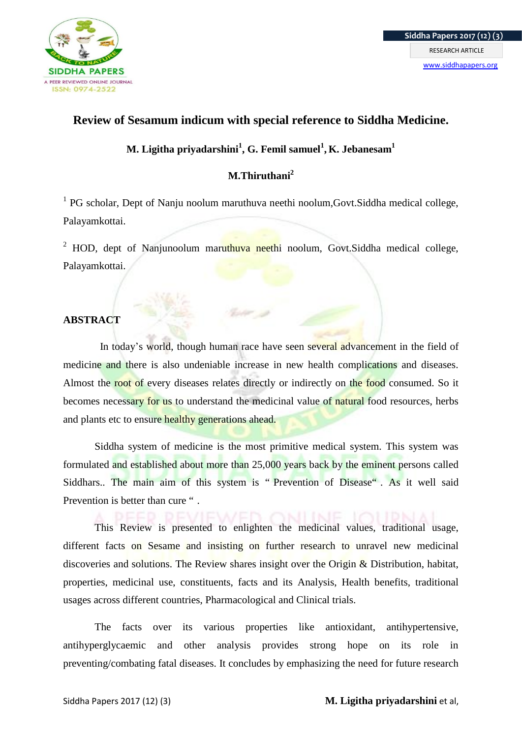

# **Review of Sesamum indicum with special reference to Siddha Medicine.**

**M. Ligitha priyadarshini<sup>1</sup> , G. Femil samuel<sup>1</sup> , K. Jebanesam<sup>1</sup>**

# **M.Thiruthani<sup>2</sup>**

<sup>1</sup> PG scholar, Dept of Nanju noolum maruthuva neethi noolum, Govt. Siddha medical college, Palayamkottai.

 $2$  HOD, dept of Nanjunoolum maruthuva neethi noolum, Govt.Siddha medical college, Palayamkottai.

# **ABSTRACT**

 In today's world, though human race have seen several advancement in the field of medicine and there is also undeniable increase in new health complications and diseases. Almost the root of every diseases relates directly or indirectly on the food consumed. So it becomes necessary for us to understand the medicinal value of natural food resources, herbs and plants etc to ensure healthy generations ahead.

Siddha system of medicine is the most primitive medical system. This system was formulated and established about more than 25,000 years back by the eminent persons called Siddhars.. The main aim of this system is " Prevention of Disease" . As it well said Prevention is better than cure ".

This Review is presented to enlighten the medicinal values, traditional usage, different facts on Sesame and insisting on further research to unravel new medicinal discoveries and solutions. The Review shares insight over the Origin & Distribution, habitat, properties, medicinal use, constituents, facts and its Analysis, Health benefits, traditional usages across different countries, Pharmacological and Clinical trials.

The facts over its various properties like antioxidant, antihypertensive, antihyperglycaemic and other analysis provides strong hope on its role in preventing/combating fatal diseases. It concludes by emphasizing the need for future research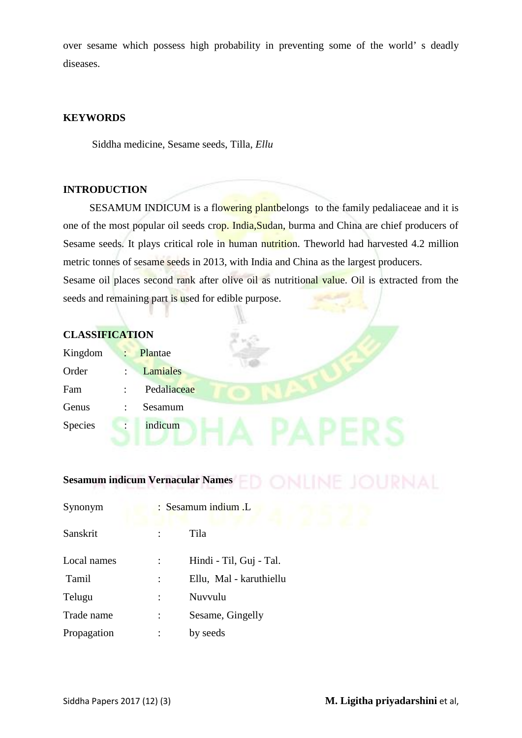over sesame which possess high probability in preventing some of the world' s deadly diseases.

# **KEYWORDS**

Siddha medicine, Sesame seeds, Tilla, *Ellu*

# **INTRODUCTION**

 SESAMUM INDICUM is a flowering plantbelongs to the family pedaliaceae and it is one of the most popular oil seeds crop. India,Sudan, burma and China are chief producers of Sesame seeds. It plays critical role in human nutrition. Theworld had harvested 4.2 million metric tonnes of sesame seeds in 2013, with India and China as the largest producers. Sesame oil places second rank after olive oil as nutritional value. Oil is extracted from the seeds and remaining part is used for edible purpose.

| <b>CLASSIFICATION</b> |                      |                 |  |
|-----------------------|----------------------|-----------------|--|
| Kingdom               | $\ddot{\phantom{a}}$ | Plantae         |  |
| Order                 | $\ddot{\cdot}$       | <b>Lamiales</b> |  |
| Fam                   | $\ddot{\cdot}$       | Pedaliaceae     |  |
| Genus                 | ٠                    | Sesamum         |  |
| Species               |                      | indicum         |  |
|                       |                      |                 |  |
|                       |                      |                 |  |

# **Sesamum indicum Vernacular Names**

| Synonym     | : Sesamum indium .L     |
|-------------|-------------------------|
| Sanskrit    | Tila                    |
| Local names | Hindi - Til, Guj - Tal. |
| Tamil       | Ellu, Mal - karuthiellu |
| Telugu      | Nuvvulu                 |
| Trade name  | Sesame, Gingelly        |
| Propagation | by seeds                |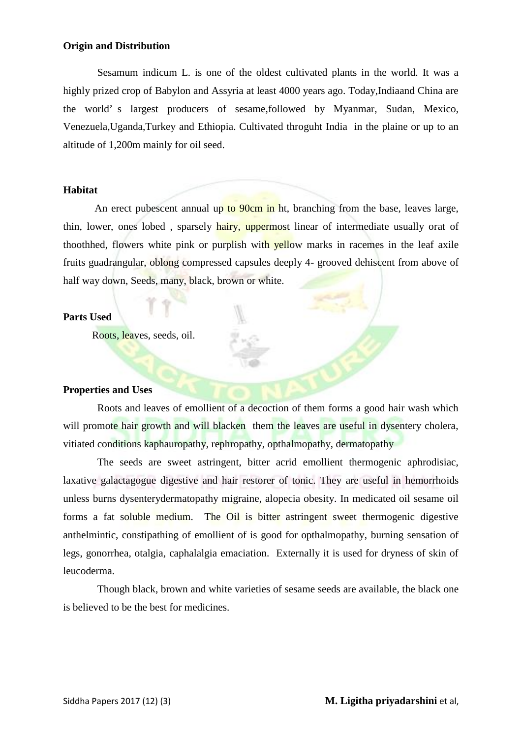# **Origin and Distribution**

 Sesamum indicum L. is one of the oldest cultivated plants in the world. It was a highly prized crop of Babylon and Assyria at least 4000 years ago. Today,Indiaand China are the world' s largest producers of sesame,followed by Myanmar, Sudan, Mexico, Venezuela,Uganda,Turkey and Ethiopia. Cultivated throguht India in the plaine or up to an altitude of 1,200m mainly for oil seed.

# **Habitat**

An erect pubescent annual up to 90cm in ht, branching from the base, leaves large, thin, lower, ones lobed, sparsely hairy, uppermost linear of intermediate usually orat of thoothhed, flowers white pink or purplish with yellow marks in racemes in the leaf axile fruits guadrangular, oblong compressed capsules deeply 4- grooved dehiscent from above of half way down, Seeds, many, black, brown or white.

#### **Parts Used**

Roots, leaves, seeds, oil.

# **Properties and Uses**

Roots and leaves of emollient of a decoction of them forms a good hair wash which will promote hair growth and will blacken them the leaves are useful in dysentery cholera, vitiated conditions kaphauropathy, rephropathy, opthalmopathy, dermatopathy

The seeds are sweet astringent, bitter acrid emollient thermogenic aphrodisiac, laxative galactagogue digestive and hair restorer of tonic. They are useful in hemorrhoids unless burns dysenterydermatopathy migraine, alopecia obesity. In medicated oil sesame oil forms a fat soluble medium. The Oil is bitter astringent sweet thermogenic digestive anthelmintic, constipathing of emollient of is good for opthalmopathy, burning sensation of legs, gonorrhea, otalgia, caphalalgia emaciation. Externally it is used for dryness of skin of leucoderma.

Though black, brown and white varieties of sesame seeds are available, the black one is believed to be the best for medicines.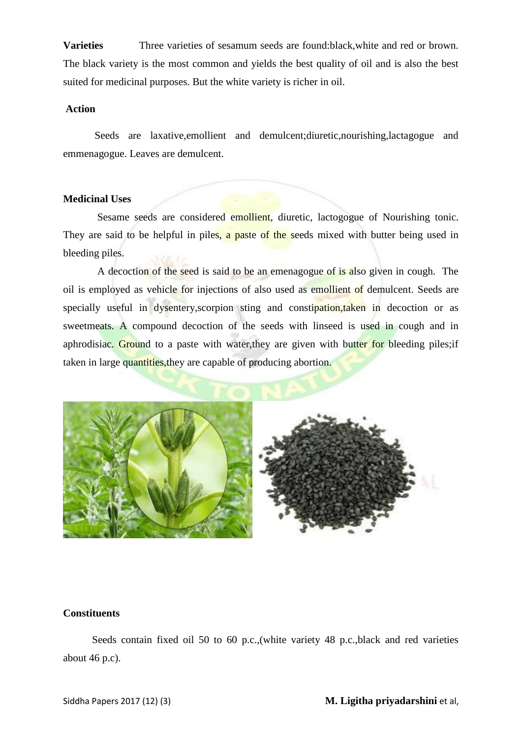**Varieties** Three varieties of sesamum seeds are found:black,white and red or brown. The black variety is the most common and yields the best quality of oil and is also the best suited for medicinal purposes. But the white variety is richer in oil.

# **Action**

 Seeds are laxative,emollient and demulcent;diuretic,nourishing,lactagogue and emmenagogue. Leaves are demulcent.

# **Medicinal Uses**

Sesame seeds are considered emollient, diuretic, lactogogue of Nourishing tonic. They are said to be helpful in piles, a paste of the seeds mixed with butter being used in bleeding piles.

A decoction of the seed is said to be an emenagogue of is also given in cough. The oil is employed as vehicle for injections of also used as emollient of demulcent. Seeds are specially useful in dysentery, scorpion sting and constipation, taken in decoction or as sweetmeats. A compound decoction of the seeds with linseed is used in cough and in aphrodisiac. Ground to a paste with water, they are given with butter for bleeding piles; if taken in large quantities,they are capable of producing abortion.



# **Constituents**

 Seeds contain fixed oil 50 to 60 p.c.,(white variety 48 p.c.,black and red varieties about 46 p.c).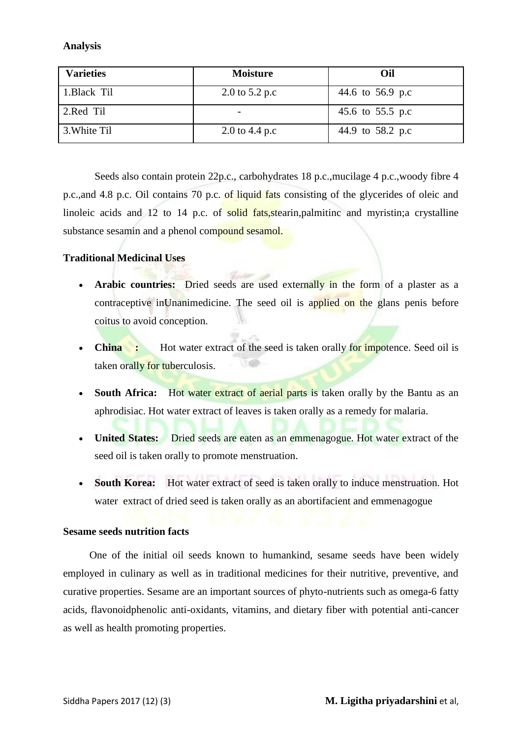# **Analysis**

| <b>Varieties</b> | <b>Moisture</b> | Oil              |
|------------------|-----------------|------------------|
| 1.Black Til      | 2.0 to 5.2 p.c  | 44.6 to 56.9 p.c |
| 2.Red Til        |                 | 45.6 to 55.5 p.c |
| 3. White Til     | 2.0 to 4.4 p.c  | 44.9 to 58.2 p.c |

 Seeds also contain protein 22p.c., carbohydrates 18 p.c.,mucilage 4 p.c.,woody fibre 4 p.c.,and 4.8 p.c. Oil contains 70 p.c. of liquid fats consisting of the glycerides of oleic and linoleic acids and 12 to 14 p.c. of solid fats,stearin,palmitinc and myristin;a crystalline substance sesamin and a phenol compound sesamol.

# **Traditional Medicinal Uses**

- **Arabic countries:** Dried seeds are used externally in the form of a plaster as a contraceptive inUnanimedicine. The seed oil is applied on the glans penis before coitus to avoid conception.
- **China :** Hot water extract of the seed is taken orally for impotence. Seed oil is taken orally for tuberculosis.
- South Africa: Hot water extract of aerial parts is taken orally by the Bantu as an aphrodisiac. Hot water extract of leaves is taken orally as a remedy for malaria.
- United States: Dried seeds are eaten as an emmenagogue. Hot water extract of the seed oil is taken orally to promote menstruation.
- **South Korea:** Hot water extract of seed is taken orally to induce menstruation. Hot water extract of dried seed is taken orally as an abortifacient and emmenagogue

# **Sesame seeds nutrition facts**

 One of the initial oil seeds known to humankind, sesame seeds have been widely employed in culinary as well as in traditional medicines for their nutritive, preventive, and curative properties. Sesame are an important sources of phyto-nutrients such as omega-6 fatty acids, flavonoidphenolic anti-oxidants, vitamins, and dietary fiber with potential anti-cancer as well as health promoting properties.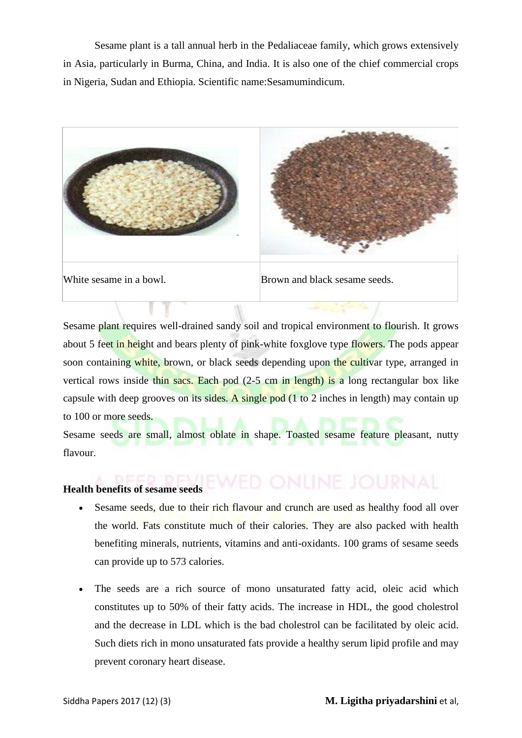Sesame plant is a tall annual herb in the Pedaliaceae family, which grows extensively in Asia, particularly in Burma, China, and India. It is also one of the chief commercial crops in Nigeria, Sudan and Ethiopia. Scientific name:Sesamumindicum.



Sesame plant requires well-drained sandy soil and tropical environment to flourish. It grows about 5 feet in height and bears plenty of pink-white foxglove type flowers. The pods appear soon containing white, brown, or black seeds depending upon the cultivar type, arranged in vertical rows inside thin sacs. Each pod (2-5 cm in length) is a long rectangular box like capsule with deep grooves on its sides. A single pod (1 to 2 inches in length) may contain up to 100 or more seeds.

Sesame seeds are small, almost oblate in shape. Toasted sesame feature pleasant, nutty flavour.

# **Health benefits of sesame seeds**

- Sesame seeds, due to their rich flavour and crunch are used as healthy food all over the world. Fats constitute much of their calories. They are also packed with health benefiting minerals, nutrients, vitamins and anti-oxidants. 100 grams of sesame seeds can provide up to 573 calories.
- The seeds are a rich source of mono unsaturated fatty acid, oleic acid which constitutes up to 50% of their fatty acids. The increase in HDL, the good cholestrol and the decrease in LDL which is the bad cholestrol can be facilitated by oleic acid. Such diets rich in mono unsaturated fats provide a healthy serum lipid profile and may prevent coronary heart disease.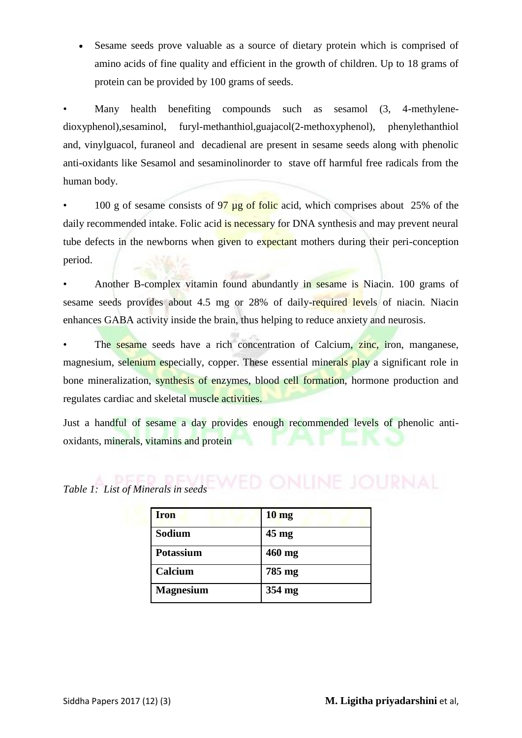Sesame seeds prove valuable as a source of dietary protein which is comprised of amino acids of fine quality and efficient in the growth of children. Up to 18 grams of protein can be provided by 100 grams of seeds.

Many health benefiting compounds such as sesamol (3, 4-methylenedioxyphenol),sesaminol, furyl-methanthiol,guajacol(2-methoxyphenol), phenylethanthiol and, vinylguacol, furaneol and decadienal are present in sesame seeds along with phenolic anti-oxidants like Sesamol and sesaminolinorder to stave off harmful free radicals from the human body.

100 g of sesame consists of  $97 \mu$ g of folic acid, which comprises about 25% of the daily recommended intake. Folic acid is necessary for DNA synthesis and may prevent neural tube defects in the newborns when given to expectant mothers during their peri-conception period.

• Another B-complex vitamin found abundantly in sesame is Niacin. 100 grams of sesame seeds provides about 4.5 mg or 28% of daily-required levels of niacin. Niacin enhances GABA activity inside the brain, thus helping to reduce anxiety and neurosis.

The sesame seeds have a rich concentration of Calcium, zinc, iron, manganese, magnesium, selenium especially, copper. These essential minerals play a significant role in bone mineralization, synthesis of enzymes, blood cell formation, hormone production and regulates cardiac and skeletal muscle activities.

Just a handful of sesame a day provides enough recommended levels of phenolic antioxidants, minerals, vitamins and protein

| <b>Iron</b>      | 10 <sub>mg</sub> |
|------------------|------------------|
| Sodium           | $45 \text{ mg}$  |
| <b>Potassium</b> | 460 mg           |
| Calcium          | 785 mg           |
| <b>Magnesium</b> | 354 mg           |

# *Table 1: List of Minerals in seeds*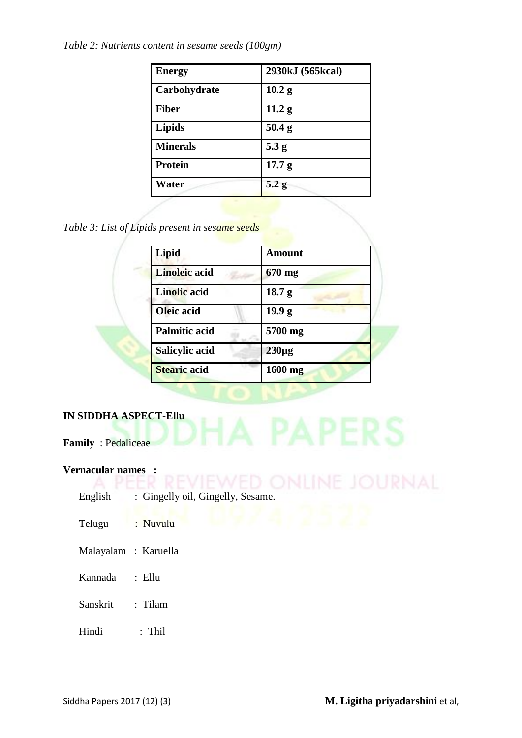*Table 2: Nutrients content in sesame seeds (100gm)*

| <b>Energy</b>   | 2930kJ (565kcal)  |
|-----------------|-------------------|
| Carbohydrate    | 10.2 <sub>g</sub> |
| <b>Fiber</b>    | 11.2 <sub>g</sub> |
| Lipids          | 50.4 <sub>g</sub> |
| <b>Minerals</b> | 5.3 g             |
| Protein         | 17.7 <sub>g</sub> |
| Water           | 5.2 g             |

*Table 3: List of Lipids present in sesame seeds*

| Lipid                | <b>Amount</b>     |  |
|----------------------|-------------------|--|
| <b>Linoleic</b> acid | $670$ mg          |  |
| <b>Linolic</b> acid  | 18.7 <sub>g</sub> |  |
| Oleic acid           | 19.9 <sub>g</sub> |  |
| <b>Palmitic acid</b> | 5700 mg           |  |
| Salicylic acid       | $230\mu g$        |  |
| <b>Stearic acid</b>  | 1600 mg           |  |

# **IN SIDDHA ASPECT-Ellu**

**Family** : Pedaliceae

# **Vernacular names :**

- English : Gingelly oil, Gingelly, Sesame.
- Telugu : Nuvulu
- Malayalam : Karuella
- Kannada : Ellu
- Sanskrit : Tilam
- Hindi : Thil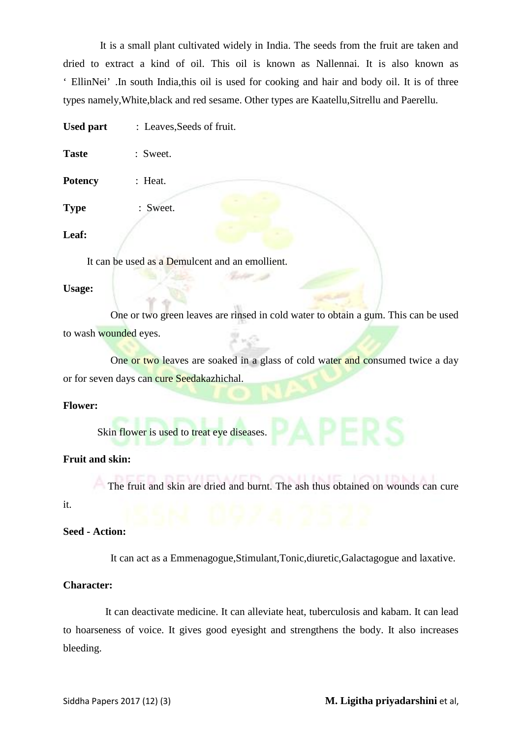It is a small plant cultivated widely in India. The seeds from the fruit are taken and dried to extract a kind of oil. This oil is known as Nallennai. It is also known as ' EllinNei' .In south India,this oil is used for cooking and hair and body oil. It is of three types namely,White,black and red sesame. Other types are Kaatellu,Sitrellu and Paerellu.

Used part : Leaves, Seeds of fruit.

| <b>Taste</b> | : Sweet. |
|--------------|----------|
|              |          |

**Potency** : Heat.

**Type** : Sweet.

# **Leaf:**

It can be used as a Demulcent and an emollient.

#### **Usage:**

 One or two green leaves are rinsed in cold water to obtain a gum. This can be used to wash wounded eyes.

One or two leaves are soaked in a glass of cold water and consumed twice a day or for seven days can cure Seedakazhichal.

#### **Flower:**

Skin flower is used to treat eye diseases.

# **Fruit and skin:**

The fruit and skin are dried and burnt. The ash thus obtained on wounds can cure

# it.

# **Seed - Action:**

It can act as a Emmenagogue,Stimulant,Tonic,diuretic,Galactagogue and laxative.

# **Character:**

 It can deactivate medicine. It can alleviate heat, tuberculosis and kabam. It can lead to hoarseness of voice. It gives good eyesight and strengthens the body. It also increases bleeding.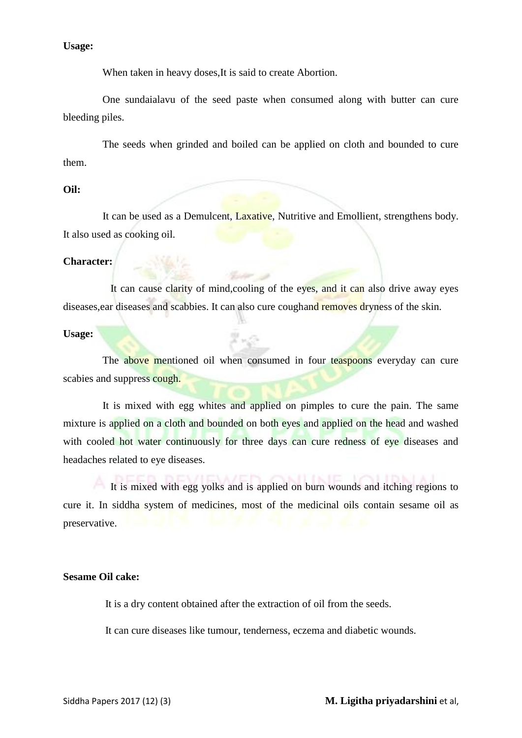**Usage:** 

When taken in heavy doses, It is said to create Abortion.

 One sundaialavu of the seed paste when consumed along with butter can cure bleeding piles.

 The seeds when grinded and boiled can be applied on cloth and bounded to cure them.

# **Oil:**

 It can be used as a Demulcent, Laxative, Nutritive and Emollient, strengthens body. It also used as cooking oil.

#### **Character:**

 It can cause clarity of mind,cooling of the eyes, and it can also drive away eyes diseases, ear diseases and scabbies. It can also cure coughand removes dryness of the skin.

## **Usage:**

The above mentioned oil when consumed in four teaspoons everyday can cure scabies and suppress cough.

2 × 2

 It is mixed with egg whites and applied on pimples to cure the pain. The same mixture is applied on a cloth and bounded on both eyes and applied on the head and washed with cooled hot water continuously for three days can cure redness of eye diseases and headaches related to eye diseases.

 It is mixed with egg yolks and is applied on burn wounds and itching regions to cure it. In siddha system of medicines, most of the medicinal oils contain sesame oil as preservative.

# **Sesame Oil cake:**

It is a dry content obtained after the extraction of oil from the seeds.

It can cure diseases like tumour, tenderness, eczema and diabetic wounds.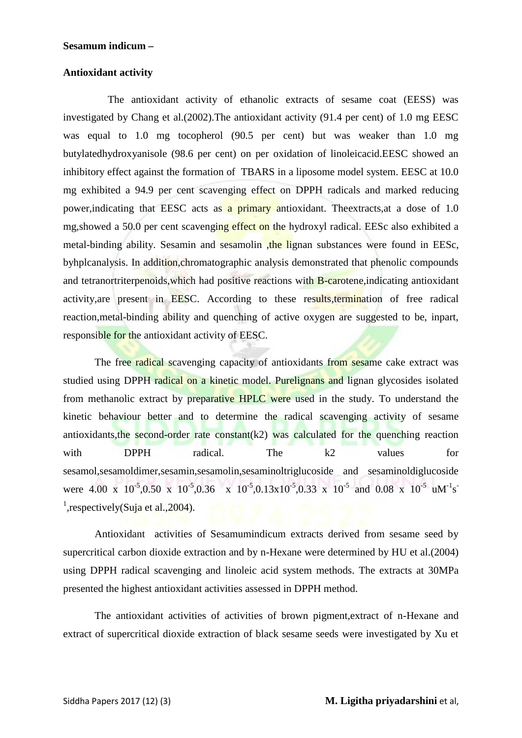#### **Sesamum indicum –**

# **Antioxidant activity**

 The antioxidant activity of ethanolic extracts of sesame coat (EESS) was investigated by Chang et al.(2002).The antioxidant activity (91.4 per cent) of 1.0 mg EESC was equal to 1.0 mg tocopherol (90.5 per cent) but was weaker than 1.0 mg butylatedhydroxyanisole (98.6 per cent) on per oxidation of linoleicacid.EESC showed an inhibitory effect against the formation of TBARS in a liposome model system. EESC at 10.0 mg exhibited a 94.9 per cent scavenging effect on DPPH radicals and marked reducing power,indicating that EESC acts as a primary antioxidant. Theextracts,at a dose of 1.0 mg,showed a 50.0 per cent scavenging effect on the hydroxyl radical. EESc also exhibited a metal-binding ability. Sesamin and sesamolin the lignan substances were found in EESc, byhplcanalysis. In addition,chromatographic analysis demonstrated that phenolic compounds and tetranortriterpenoids,which had positive reactions with B-carotene,indicating antioxidant activity,are present in EESC. According to these results,termination of free radical reaction,metal-binding ability and quenching of active oxygen are suggested to be, inpart, responsible for the antioxidant activity of EESC.

The free radical scavenging capacity of antioxidants from sesame cake extract was studied using DPPH radical on a kinetic model. Purelignans and lignan glycosides isolated from methanolic extract by preparative HPLC were used in the study. To understand the kinetic behaviour better and to determine the radical scavenging activity of sesame antioxidants, the second-order rate constant  $(k2)$  was calculated for the quenching reaction with DPPH radical. The k2 values for sesamol,sesamoldimer,sesamin,sesamolin,sesaminoltriglucoside and sesaminoldiglucoside were 4.00 x  $10^{-5}$ ,0.50 x  $10^{-5}$ ,0.36 x  $10^{-5}$ ,0.13x10<sup>-5</sup>,0.33 x  $10^{-5}$  and 0.08 x  $10^{-5}$  uM<sup>-1</sup>s<sup>-</sup> <sup>1</sup>, respectively (Suja et al., 2004).

 Antioxidant activities of Sesamumindicum extracts derived from sesame seed by supercritical carbon dioxide extraction and by n-Hexane were determined by HU et al.(2004) using DPPH radical scavenging and linoleic acid system methods. The extracts at 30MPa presented the highest antioxidant activities assessed in DPPH method.

 The antioxidant activities of activities of brown pigment,extract of n-Hexane and extract of supercritical dioxide extraction of black sesame seeds were investigated by Xu et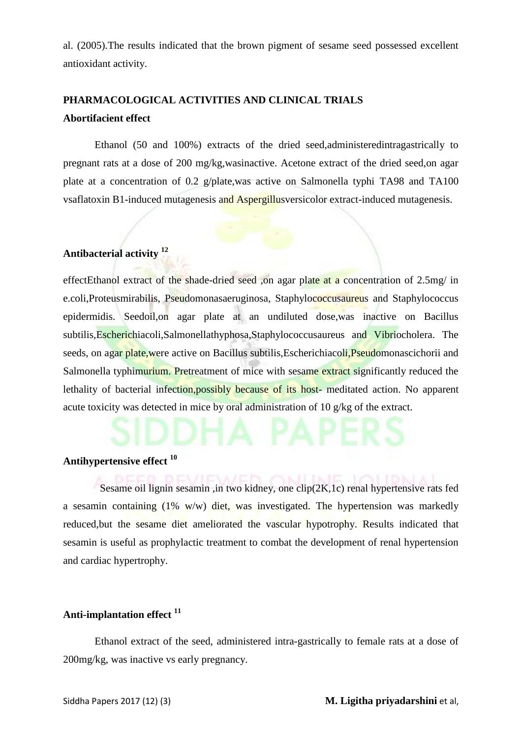al. (2005).The results indicated that the brown pigment of sesame seed possessed excellent antioxidant activity.

# **PHARMACOLOGICAL ACTIVITIES AND CLINICAL TRIALS Abortifacient effect**

 Ethanol (50 and 100%) extracts of the dried seed,administeredintragastrically to pregnant rats at a dose of 200 mg/kg,wasinactive. Acetone extract of the dried seed,on agar plate at a concentration of 0.2 g/plate,was active on Salmonella typhi TA98 and TA100 vsaflatoxin B1-induced mutagenesis and Aspergillusversicolor extract-induced mutagenesis.

# **Antibacterial activity <sup>12</sup>**

effectEthanol extract of the shade-dried seed ,on agar plate at a concentration of 2.5mg/ in e.coli,Proteusmirabilis, Pseudomonasaeruginosa, Staphylococcusaureus and Staphylococcus epidermidis. Seedoil,on agar plate at an undiluted dose,was inactive on Bacillus subtilis,Escherichiacoli,Salmonellathyphosa,Staphylococcusaureus and Vibriocholera. The seeds, on agar plate, were active on Bacillus subtilis, Escherichiacoli, Pseudomonascichorii and Salmonella typhimurium. Pretreatment of mice with sesame extract significantly reduced the lethality of bacterial infection,possibly because of its host- meditated action. No apparent acute toxicity was detected in mice by oral administration of 10 g/kg of the extract.

# **Antihypertensive effect <sup>10</sup>**

 Sesame oil lignin sesamin ,in two kidney, one clip(2K,1c) renal hypertensive rats fed a sesamin containing (1% w/w) diet, was investigated. The hypertension was markedly reduced,but the sesame diet ameliorated the vascular hypotrophy. Results indicated that sesamin is useful as prophylactic treatment to combat the development of renal hypertension and cardiac hypertrophy.

# **Anti-implantation effect <sup>11</sup>**

 Ethanol extract of the seed, administered intra-gastrically to female rats at a dose of 200mg/kg, was inactive vs early pregnancy.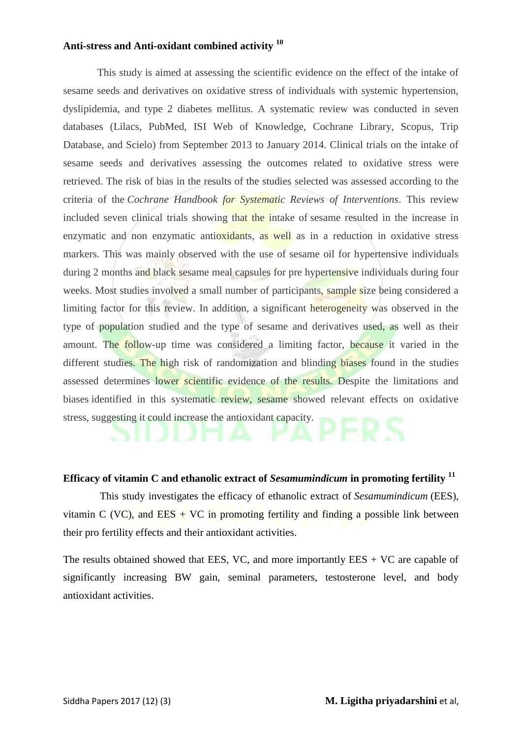## **Anti-stress and Anti-oxidant combined activity <sup>10</sup>**

 This study is aimed at assessing the scientific evidence on the effect of the intake of sesame seeds and derivatives on oxidative stress of individuals with systemic hypertension, dyslipidemia, and type 2 diabetes mellitus. A systematic review was conducted in seven databases (Lilacs, PubMed, ISI Web of Knowledge, Cochrane Library, Scopus, Trip Database, and Scielo) from September 2013 to January 2014. Clinical trials on the intake of sesame seeds and derivatives assessing the outcomes related to oxidative stress were retrieved. The risk of bias in the results of the studies selected was assessed according to the criteria of the *Cochrane Handbook for Systematic Reviews of Interventions*. This review included seven clinical trials showing that the intake of sesame resulted in the increase in enzymatic and non enzymatic antioxidants, as well as in a reduction in oxidative stress markers. This was mainly observed with the use of sesame oil for hypertensive individuals during 2 months and black sesame meal capsules for pre hypertensive individuals during four weeks. Most studies involved a small number of participants, sample size being considered a limiting factor for this review. In addition, a significant heterogeneity was observed in the type of population studied and the type of sesame and derivatives used, as well as their amount. The follow-up time was considered a limiting factor, because it varied in the different studies. The high risk of randomization and blinding biases found in the studies assessed determines lower scientific evidence of the results. Despite the limitations and biases identified in this systematic review, sesame showed relevant effects on oxidative stress, suggesting it could increase the antioxidant capacity.

#### **Efficacy of vitamin C and ethanolic extract of** *Sesamumindicum* **in promoting fertility <sup>11</sup>**

 This study investigates the efficacy of ethanolic extract of *Sesamumindicum* (EES), vitamin C (VC), and EES  $+$  VC in promoting fertility and finding a possible link between their pro fertility effects and their antioxidant activities.

The results obtained showed that EES, VC, and more importantly  $EES + VC$  are capable of significantly increasing BW gain, seminal parameters, testosterone level, and body antioxidant activities.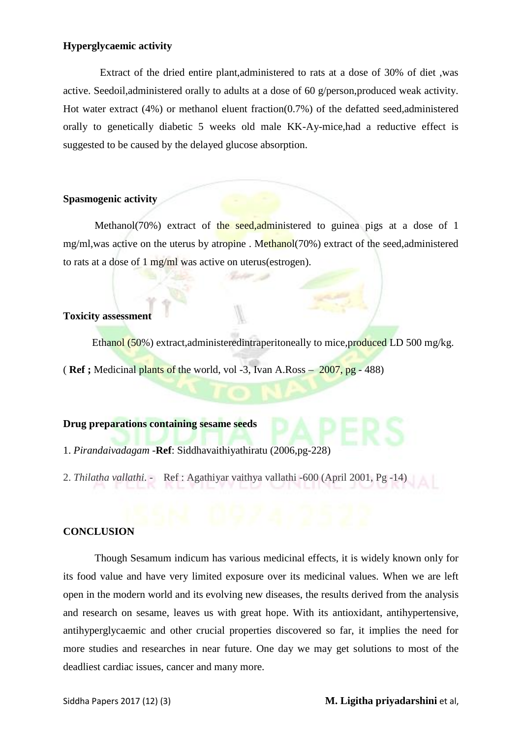# **Hyperglycaemic activity**

 Extract of the dried entire plant,administered to rats at a dose of 30% of diet ,was active. Seedoil,administered orally to adults at a dose of 60 g/person,produced weak activity. Hot water extract (4%) or methanol eluent fraction(0.7%) of the defatted seed,administered orally to genetically diabetic 5 weeks old male KK-Ay-mice,had a reductive effect is suggested to be caused by the delayed glucose absorption.

# **Spasmogenic activity**

Methanol(70%) extract of the seed, administered to guinea pigs at a dose of 1 mg/ml,was active on the uterus by atropine. Methanol(70%) extract of the seed, administered to rats at a dose of 1 mg/ml was active on uterus(estrogen).

# **Toxicity assessment**

Ethanol (50%) extract, administered intraperitoneally to mice, produced LD 500 mg/kg.

( **Ref ;** Medicinal plants of the world, vol -3, Ivan A.Ross – 2007, pg - 488)

#### **Drug preparations containing sesame seeds**

- 1. *Pirandaivadagam* -**Ref**: Siddhavaithiyathiratu (2006,pg-228)
- 2. *Thilatha vallathi*. Ref : Agathiyar vaithya vallathi -600 (April 2001, Pg -14)

# **CONCLUSION**

Though Sesamum indicum has various medicinal effects, it is widely known only for its food value and have very limited exposure over its medicinal values. When we are left open in the modern world and its evolving new diseases, the results derived from the analysis and research on sesame, leaves us with great hope. With its antioxidant, antihypertensive, antihyperglycaemic and other crucial properties discovered so far, it implies the need for more studies and researches in near future. One day we may get solutions to most of the deadliest cardiac issues, cancer and many more.